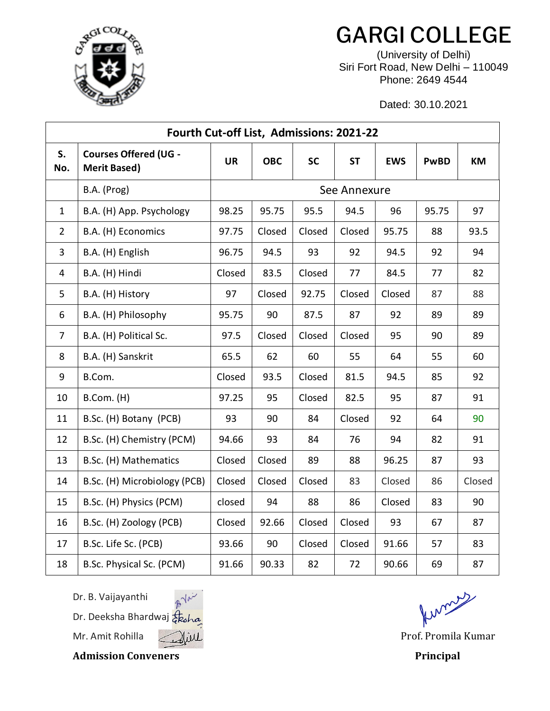

## GARGI COLLEGE

(University of Delhi) Siri Fort Road, New Delhi – 110049 Phone: 2649 4544

Dated: 30.10.2021

| Fourth Cut-off List, Admissions: 2021-22 |                                                     |              |            |           |           |            |             |        |  |  |  |  |
|------------------------------------------|-----------------------------------------------------|--------------|------------|-----------|-----------|------------|-------------|--------|--|--|--|--|
| S.<br>No.                                | <b>Courses Offered (UG -</b><br><b>Merit Based)</b> | <b>UR</b>    | <b>OBC</b> | <b>SC</b> | <b>ST</b> | <b>EWS</b> | <b>PwBD</b> | KM     |  |  |  |  |
|                                          | B.A. (Prog)                                         | See Annexure |            |           |           |            |             |        |  |  |  |  |
| $\mathbf{1}$                             | B.A. (H) App. Psychology                            | 98.25        | 95.75      | 95.5      | 94.5      | 96         | 95.75       | 97     |  |  |  |  |
| $\overline{2}$                           | B.A. (H) Economics                                  | 97.75        | Closed     | Closed    | Closed    | 95.75      | 88          | 93.5   |  |  |  |  |
| 3                                        | B.A. (H) English                                    | 96.75        | 94.5       | 93        | 92        | 94.5       | 92          | 94     |  |  |  |  |
| 4                                        | B.A. (H) Hindi                                      | Closed       | 83.5       | Closed    | 77        | 84.5       | 77          | 82     |  |  |  |  |
| 5                                        | B.A. (H) History                                    | 97           | Closed     | 92.75     | Closed    | Closed     | 87          | 88     |  |  |  |  |
| 6                                        | B.A. (H) Philosophy                                 | 95.75        | 90         | 87.5      | 87        | 92         | 89          | 89     |  |  |  |  |
| $\overline{7}$                           | B.A. (H) Political Sc.                              | 97.5         | Closed     | Closed    | Closed    | 95         | 90          | 89     |  |  |  |  |
| 8                                        | B.A. (H) Sanskrit                                   | 65.5         | 62         | 60        | 55        | 64         | 55          | 60     |  |  |  |  |
| 9                                        | B.Com.                                              | Closed       | 93.5       | Closed    | 81.5      | 94.5       | 85          | 92     |  |  |  |  |
| 10                                       | B.Com. (H)                                          | 97.25        | 95         | Closed    | 82.5      | 95         | 87          | 91     |  |  |  |  |
| 11                                       | B.Sc. (H) Botany (PCB)                              | 93           | 90         | 84        | Closed    | 92         | 64          | 90     |  |  |  |  |
| 12                                       | B.Sc. (H) Chemistry (PCM)                           | 94.66        | 93         | 84        | 76        | 94         | 82          | 91     |  |  |  |  |
| 13                                       | B.Sc. (H) Mathematics                               | Closed       | Closed     | 89        | 88        | 96.25      | 87          | 93     |  |  |  |  |
| 14                                       | B.Sc. (H) Microbiology (PCB)                        | Closed       | Closed     | Closed    | 83        | Closed     | 86          | Closed |  |  |  |  |
| 15                                       | B.Sc. (H) Physics (PCM)                             | closed       | 94         | 88        | 86        | Closed     | 83          | 90     |  |  |  |  |
| 16                                       | B.Sc. (H) Zoology (PCB)                             | Closed       | 92.66      | Closed    | Closed    | 93         | 67          | 87     |  |  |  |  |
| 17                                       | B.Sc. Life Sc. (PCB)                                | 93.66        | 90         | Closed    | Closed    | 91.66      | 57          | 83     |  |  |  |  |
| 18                                       | B.Sc. Physical Sc. (PCM)                            | 91.66        | 90.33      | 82        | 72        | 90.66      | 69          | 87     |  |  |  |  |

Dr. B. Vaijayanthi

Dr. Deeksha Bhardwaj  $\frac{1}{6}$ ko



Admission Conveners **Principal** 

Kinguy

Mr. Amit Rohilla ( Mill Mill Communication of the Prof. Promila Kumar